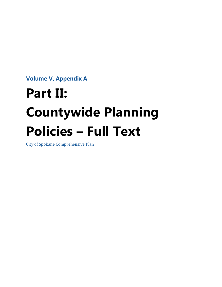**Volume V, Appendix A**

# **Part II: Countywide Planning Policies – Full Text**

City of Spokane Comprehensive Plan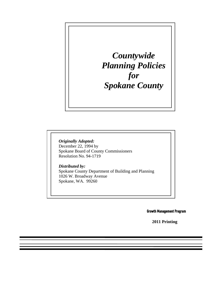*Countywide Planning Policies for Spokane County* 

 *Originally Adopted:* December 22, 1994 by Spokane Board of County Commissioners Resolution No. 94-1719

 *Distributed by:*  Spokane County Department of Building and Planning 1026 W. Broadway Avenue Spokane, WA. 99260

Growth Management Program

**2011 Printing**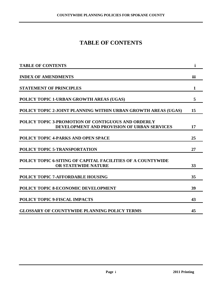### **TABLE OF CONTENTS**

| <b>TABLE OF CONTENTS</b>                                                                          | i   |
|---------------------------------------------------------------------------------------------------|-----|
| <b>INDEX OF AMENDMENTS</b>                                                                        | iii |
| <b>STATEMENT OF PRINCIPLES</b>                                                                    | 1   |
| POLICY TOPIC 1-URBAN GROWTH AREAS (UGAS)                                                          | 5   |
| POLICY TOPIC 2-JOINT PLANNING WITHIN URBAN GROWTH AREAS (UGAS)                                    | 15  |
| POLICY TOPIC 3-PROMOTION OF CONTIGUOUS AND ORDERLY<br>DEVELOPMENT AND PROVISION OF URBAN SERVICES | 17  |
| <b>POLICY TOPIC 4-PARKS AND OPEN SPACE</b>                                                        | 25  |
| POLICY TOPIC 5-TRANSPORTATION                                                                     | 27  |
| POLICY TOPIC 6-SITING OF CAPITAL FACILITIES OF A COUNTYWIDE<br><b>OR STATEWIDE NATURE</b>         | 33  |
| <b>POLICY TOPIC 7-AFFORDABLE HOUSING</b>                                                          | 35  |
| POLICY TOPIC 8-ECONOMIC DEVELOPMENT                                                               | 39  |
| POLICY TOPIC 9-FISCAL IMPACTS                                                                     | 43  |
| <b>GLOSSARY OF COUNTYWIDE PLANNING POLICY TERMS</b>                                               | 45  |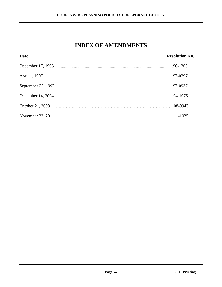### **INDEX OF AMENDMENTS**

| <b>Date</b> | <b>Resolution No.</b> |
|-------------|-----------------------|
|             |                       |
|             |                       |
|             |                       |
|             |                       |
|             |                       |
|             |                       |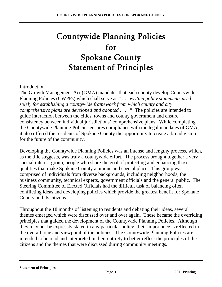# Countywide Planning Policies for Spokane County Statement of Principles

#### Introduction

The Growth Management Act (GMA) mandates that each county develop Countywide Planning Policies (CWPPs) which shall serve as " . . . *written policy statements used solely for establishing a countywide framework from which county and city comprehensive plans are developed and adopted ....* "The policies are intended to guide interaction between the cities, towns and county government and ensure consistency between individual jurisdictions' comprehensive plans. While completing the Countywide Planning Policies ensures compliance with the legal mandates of GMA, it also offered the residents of Spokane County the opportunity to create a broad vision for the future of the community.

Developing the Countywide Planning Policies was an intense and lengthy process, which, as the title suggests, was truly a countywide effort. The process brought together a very special interest group, people who share the goal of protecting and enhancing those qualities that make Spokane County a unique and special place. This group was comprised of individuals from diverse backgrounds, including neighborhoods, the business community, technical experts, government officials and the general public. The Steering Committee of Elected Officials had the difficult task of balancing often conflicting ideas and developing policies which provide the greatest benefit for Spokane County and its citizens.

Throughout the 18 months of listening to residents and debating their ideas, several themes emerged which were discussed over and over again. These became the overriding principles that guided the development of the Countywide Planning Policies. Although they may not be expressly stated in any particular policy, their importance is reflected in the overall tone and viewpoint of the policies. The Countywide Planning Policies are intended to be read and interpreted in their entirety to better reflect the principles of the citizens and the themes that were discussed during community meetings.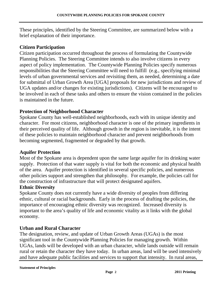These principles, identified by the Steering Committee, are summarized below with a brief explanation of their importance.

#### **Citizen Participation**

Citizen participation occurred throughout the process of formulating the Countywide Planning Policies. The Steering Committee intends to also involve citizens in every aspect of policy implementation. The Countywide Planning Policies specify numerous responsibilities that the Steering Committee will need to fulfill (e.g., specifying minimal levels of urban governmental services and revisiting them, as needed, determining a date for submittal of Urban Growth Area [UGA] proposals for new jurisdictions and review of UGA updates and/or changes for existing jurisdictions). Citizens will be encouraged to be involved in each of these tasks and others to ensure the vision contained in the policies is maintained in the future.

#### **Protection of Neighborhood Character**

Spokane County has well-established neighborhoods, each with its unique identity and character. For most citizens, neighborhood character is one of the primary ingredients in their perceived quality of life. Although growth in the region is inevitable, it is the intent of these policies to maintain neighborhood character and prevent neighborhoods from becoming segmented, fragmented or degraded by that growth.

#### **Aquifer Protection**

Most of the Spokane area is dependent upon the same large aquifer for its drinking water supply. Protection of that water supply is vital for both the economic and physical health of the area. Aquifer protection is identified in several specific policies, and numerous other policies support and strengthen that philosophy. For example, the policies call for the construction of infrastructure that will protect designated aquifers.

#### **Ethnic Diversity**

Spokane County does not currently have a wide diversity of peoples from differing ethnic, cultural or racial backgrounds. Early in the process of drafting the policies, the importance of encouraging ethnic diversity was recognized. Increased diversity is important to the area's quality of life and economic vitality as it links with the global economy.

#### **Urban and Rural Character**

The designation, review, and update of Urban Growth Areas (UGAs) is the most significant tool in the Countywide Planning Policies for managing growth. Within UGAs, lands will be developed with an urban character, while lands outside will remain rural or retain the character they have today. In urban areas, land will be used intensively and have adequate public facilities and services to support that intensity. In rural areas,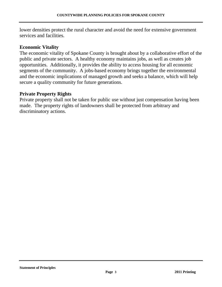lower densities protect the rural character and avoid the need for extensive government services and facilities.

#### **Economic Vitality**

The economic vitality of Spokane County is brought about by a collaborative effort of the public and private sectors. A healthy economy maintains jobs, as well as creates job opportunities. Additionally, it provides the ability to access housing for all economic segments of the community. A jobs-based economy brings together the environmental and the economic implications of managed growth and seeks a balance, which will help secure a quality community for future generations.

#### **Private Property Rights**

Private property shall not be taken for public use without just compensation having been made. The property rights of landowners shall be protected from arbitrary and discriminatory actions.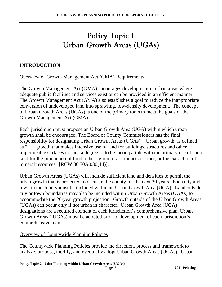# Policy Topic 1 Urban Growth Areas (UGAs)

#### **INTRODUCTION**

Overview of Growth Management Act (GMA) Requirements

The Growth Management Act (GMA) encourages development in urban areas where adequate public facilities and services exist or can be provided in an efficient manner. The Growth Management Act (GMA) also establishes a goal to reduce the inappropriate conversion of undeveloped land into sprawling, low-density development. The concept of Urban Growth Areas (UGAs) is one of the primary tools to meet the goals of the Growth Management Act (GMA).

Each jurisdiction must propose an Urban Growth Area (UGA) within which urban growth shall be encouraged. The Board of County Commissioners has the final responsibility for designating Urban Growth Areas (UGAs). 'Urban growth' is defined as " . . . growth that makes intensive use of land for buildings, structures and other impermeable surfaces to such a degree as to be incompatible with the primary use of such land for the production of food, other agricultural products or fiber, or the extraction of mineral resources" [RCW 36.70A.030(14)].

Urban Growth Areas (UGAs) will include sufficient land and densities to permit the urban growth that is projected to occur in the county for the next 20 years. Each city and town in the county must be included within an Urban Growth Area (UGA). Land outside city or town boundaries may also be included within Urban Growth Areas (UGAs) to accommodate the 20-year growth projection.Growth outside of the Urban Growth Areas (UGAs) can occur only if not urban in character. Urban Growth Area (UGA) designations are a required element of each jurisdiction's comprehensive plan. Urban Growth Areas (IUGAs) must be adopted prior to development of each jurisdiction's comprehensive plan.

#### Overview of Countywide Planning Policies

The Countywide Planning Policies provide the direction, process and framework to analyze, propose, modify, and eventually adopt Urban Growth Areas (UGAs). Urban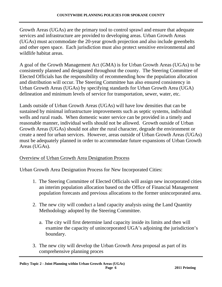Growth Areas (UGAs) are the primary tool to control sprawl and ensure that adequate services and infrastructure are provided to developing areas. Urban Growth Areas (UGAs) must accommodate the 20-year growth projection and also include greenbelts and other open space. Each jurisdiction must also protect sensitive environmental and wildlife habitat areas.

A goal of the Growth Management Act (GMA) is for Urban Growth Areas (UGAs) to be consistently planned and designated throughout the county. The Steering Committee of Elected Officials has the responsibility of recommending how the population allocation and distribution will occur. The Steering Committee has also ensured consistency in Urban Growth Areas (UGAs) by specifying standards for Urban Growth Area (UGA) delineation and minimum levels of service for transportation, sewer, water, etc.

Lands outside of Urban Growth Areas (UGAs) will have low densities that can be sustained by minimal infrastructure improvements such as septic systems, individual wells and rural roads. When domestic water service can be provided in a timely and reasonable manner, individual wells should not be allowed.Growth outside of Urban Growth Areas (UGAs) should not alter the rural character, degrade the environment or create a need for urban services. However, areas outside of Urban Growth Areas (UGAs) must be adequately planned in order to accommodate future expansions of Urban Growth Areas (UGAs).

#### Overview of Urban Growth Area Designation Process

Urban Growth Area Designation Process for New Incorporated Cities:

- 1. The Steering Committee of Elected Officials will assign new incorporated cities an interim population allocation based on the Office of Financial Management population forecasts and previous allocations to the former unincorporated area.
- 2. The new city will conduct a land capacity analysis using the Land Quantity Methodology adopted by the Steering Committee.
	- a. The city will first determine land capacity inside its limits and then will examine the capacity of unincorporated UGA's adjoining the jurisdiction's boundary.
- 3. The new city will develop the Urban Growth Area proposal as part of its comprehensive planning proces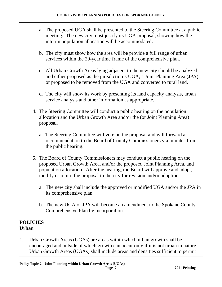- a. The proposed UGA shall be presented to the Steering Committee at a public meeting. The new city must justify its UGA proposal, showing how the interim population allocation will be accommodated.
- b. The city must show how the area will be provide a full range of urban services within the 20-year time frame of the comprehensive plan.
- c. All Urban Growth Areas lying adjacent to the new city should be analyzed and either proposed as the jurisdiction's UGA, a Joint Planning Area (JPA), or proposed to be removed from the UGA and converted to rural land.
- d. The city will show its work by presenting its land capacity analysis, urban service analysis and other information as appropriate.
- 4. The Steering Committee will conduct a public hearing on the population allocation and the Urban Growth Area and/or the (or Joint Planning Area) proposal.
	- a. The Steering Committee will vote on the proposal and will forward a recommendation to the Board of County Commissioners via minutes from the public hearing.
- 5. The Board of County Commissioners may conduct a public hearing on the proposed Urban Growth Area, and/or the proposed Joint Planning Area, and population allocation. After the hearing, the Board will approve and adopt, modify or return the proposal to the city for revision and/or adoption.
	- a. The new city shall include the approved or modified UGA and/or the JPA in its comprehensive plan.
	- b. The new UGA or JPA will become an amendment to the Spokane County Comprehensive Plan by incorporation.

#### **POLICIES Urban**

1. Urban Growth Areas (UGAs) are areas within which urban growth shall be encouraged and outside of which growth can occur only if it is not urban in nature. Urban Growth Areas (UGAs) shall include areas and densities sufficient to permit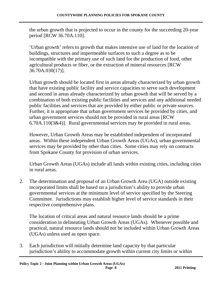the urban growth that is projected to occur in the county for the succeeding 20-year period [RCW 36.70A.110].

'Urban growth' refers to growth that makes intensive use of land for the location of buildings, structures and impermeable surfaces to such a degree as to be incompatible with the primary use of such land for the production of food, other agricultural products or fiber, or the extraction of mineral resources [RCW 36.70A.030(17)].

Urban growth should be located first in areas already characterized by urban growth that have existing public facility and service capacities to serve such development and second in areas already characterized by urban growth that will be served by a combination of both existing public facilities and services and any additional needed public facilities and services that are provided by either public or private sources. Further, it is appropriate that urban government services be provided by cities, and urban government services should not be provided in rural areas [RCW 6.70A.110(3&4)]. Rural governmental services may be provided in rural areas.

However, Urban Growth Areas may be established independent of incorporated areas. Within these independent Urban Growth Areas (UGAs), urban governmental services may be provided by other than cities. Some cities may rely on contracts from Spokane County for provision of urban services.

Urban Growth Areas (UGAs) include all lands within existing cities, including cities in rural areas.

2. The determination and proposal of an Urban Growth Area (UGA) outside existing incorporated limits shall be based on a jurisdiction's ability to provide urban governmental services at the minimum level of service specified by the Steering Committee. Jurisdictions may establish higher level of service standards in their respective comprehensive plans.

The location of critical areas and natural resource lands should be a prime consideration in delineating Urban Growth Areas (UGAs). Whenever possible and practical, natural resource lands should not be included within Urban Growth Areas (UGAs) unless used as open space.

3. Each jurisdiction will initially determine land capacity by that particular jurisdiction's ability to accommodate growth within current city limits or within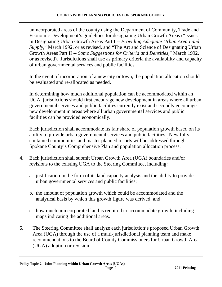unincorporated areas of the county using the Department of Community, Trade and Economic Development's guidelines for designating Urban Growth Areas ("Issues in Designating Urban Growth Areas Part I -- *Providing Adequate Urban Area Land Supply,*" March 1992, or as revised, and "The Art and Science of Designating Urban Growth Areas Part II -- *Some Suggestions for Criteria and Densities,*" March 1992, or as revised). Jurisdictions shall use as primary criteria the availability and capacity of urban governmental services and public facilities.

 In the event of incorporation of a new city or town, the population allocation should be evaluated and re-allocated as needed.

In determining how much additional population can be accommodated within an UGA, jurisdictions should first encourage new development in areas where all urban governmental services and public facilities currently exist and secondly encourage new development in areas where all urban governmental services and public facilities can be provided economically.

Each jurisdiction shall accommodate its fair share of population growth based on its ability to provide urban governmental services and public facilities. New fully contained communities and master planned resorts will be addressed through Spokane County's Comprehensive Plan and population allocation process.

- 4. Each jurisdiction shall submit Urban Growth Area (UGA) boundaries and/or revisions to the existing UGA to the Steering Committee, including:
	- a. justification in the form of its land capacity analysis and the ability to provide urban governmental services and public facilities;
	- b. the amount of population growth which could be accommodated and the analytical basis by which this growth figure was derived; and
	- c. how much unincorporated land is required to accommodate growth, including maps indicating the additional areas.
- 5. The Steering Committee shall analyze each jurisdiction's proposed Urban Growth Area (UGA) through the use of a multi-jurisdictional planning team and make recommendations to the Board of County Commissioners for Urban Growth Area (UGA) adoption or revision.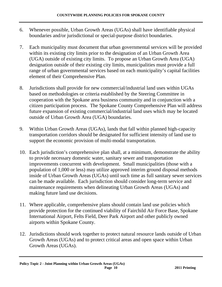- 6. Whenever possible, Urban Growth Areas (UGAs) shall have identifiable physical boundaries and/or jurisdictional or special-purpose district boundaries.
- 7. Each municipality must document that urban governmental services will be provided within its existing city limits prior to the designation of an Urban Growth Area (UGA) outside of existing city limits. To propose an Urban Growth Area (UGA) designation outside of their existing city limits, municipalities must provide a full range of urban governmental services based on each municipality's capital facilities element of their Comprehensive Plan.
- 8. Jurisdictions shall provide for new commercial/industrial land uses within UGAs based on methodologies or criteria established by the Steering Committee in cooperation with the Spokane area business community and in conjunction with a citizen participation process. The Spokane County Comprehensive Plan will address future expansion of existing commercial/industrial land uses which may be located outside of Urban Growth Area (UGA) boundaries.
- 9. Within Urban Growth Areas (UGAs), lands that fall within planned high-capacity transportation corridors should be designated for sufficient intensity of land use to support the economic provision of multi-modal transportation.
- 10. Each jurisdiction's comprehensive plan shall, at a minimum, demonstrate the ability to provide necessary domestic water, sanitary sewer and transportation improvements concurrent with development. Small municipalities (those with a population of 1,000 or less) may utilize approved interim ground disposal methods inside of Urban Growth Areas (UGAs) until such time as full sanitary sewer services can be made available. Each jurisdiction should consider long-term service and maintenance requirements when delineating Urban Growth Areas (UGAs) and making future land use decisions.
- 11. Where applicable, comprehensive plans should contain land use policies which provide protection for the continued viability of Fairchild Air Force Base, Spokane International Airport, Felts Field, Deer Park Airport and other publicly owned airports within Spokane County.
- 12. Jurisdictions should work together to protect natural resource lands outside of Urban Growth Areas (UGAs) and to protect critical areas and open space within Urban Growth Areas (UGAs).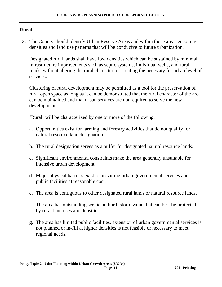#### **Rural**

13. The County should identify Urban Reserve Areas and within those areas encourage densities and land use patterns that will be conducive to future urbanization.

Designated rural lands shall have low densities which can be sustained by minimal infrastructure improvements such as septic systems, individual wells, and rural roads, without altering the rural character, or creating the necessity for urban level of services.

Clustering of rural development may be permitted as a tool for the preservation of rural open space as long as it can be demonstrated that the rural character of the area can be maintained and that urban services are not required to serve the new development.

'Rural' will be characterized by one or more of the following.

- a. Opportunities exist for farming and forestry activities that do not qualify for natural resource land designation.
- b. The rural designation serves as a buffer for designated natural resource lands.
- c. Significant environmental constraints make the area generally unsuitable for intensive urban development.
- d. Major physical barriers exist to providing urban governmental services and public facilities at reasonable cost.
- e. The area is contiguous to other designated rural lands or natural resource lands.
- f. The area has outstanding scenic and/or historic value that can best be protected by rural land uses and densities.
- g. The area has limited public facilities, extension of urban governmental services is not planned or in-fill at higher densities is not feasible or necessary to meet regional needs.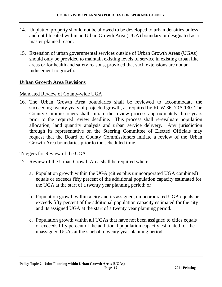- 14. Unplatted property should not be allowed to be developed to urban densities unless and until located within an Urban Growth Area (UGA) boundary or designated as a master planned resort.
- 15. Extension of urban governmental services outside of Urban Growth Areas (UGAs) should only be provided to maintain existing levels of service in existing urban like areas or for health and safety reasons, provided that such extensions are not an inducement to growth.

#### **Urban Growth Area Revisions**

#### Mandated Review of County-wide UGA

16. The Urban Growth Area boundaries shall be reviewed to accommodate the succeeding twenty years of projected growth, as required by RCW 36. 70A.130. The County Commissioners shall initiate the review process approximately three years prior to the required review deadline. This process shall re-evaluate population allocation, land quantity analysis and urban service delivery. Any jurisdiction through its representative on the Steering Committee of Elected Officials may request that the Board of County Commissioners initiate a review of the Urban Growth Area boundaries prior to the scheduled time.

#### Triggers for Review of the UGA

- 17. Review of the Urban Growth Area shall be required when:
	- a. Population growth within the UGA (cities plus unincorporated UGA combined) equals or exceeds fifty percent of the additional population capacity estimated for the UGA at the start of a twenty year planning period; or
	- b. Population growth within a city and its assigned, unincorporated UGA equals or exceeds fifty percent of the additional population capacity estimated for the city and its assigned UGA at the start of a twenty year planning period.
	- c. Population growth within all UGAs that have not been assigned to cities equals or exceeds fifty percent of the additional population capacity estimated for the unassigned UGAs at the start of a twenty year planning period.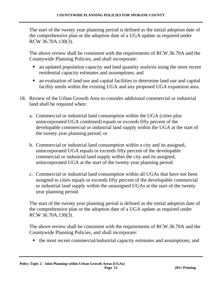The start of the twenty year planning period is defined as the initial adoption date of the comprehensive plan or the adoption date of a UGA update as required under RCW 36.70A.130(3).

 The above review shall be consistent with the requirements of RCW.36.70A and the Countywide Planning Policies, and shall incorporate:

- an updated population capacity and land quantity analysis using the most recent residential capacity estimates and assumptions; and
- an evaluation of land use and capital facilities to determine land use and capital facility needs within the existing UGA and any proposed UGA expansion area.
- 18. Review of the Urban Growth Area to consider additional commercial or industrial land shall be required when:
	- a. Commercial or industrial land consumption within the UGA (cities plus unincorporated UGA combined) equals or exceeds fifty percent of the developable commercial or industrial land supply within the UGA at the start of the twenty year planning period; or
	- b. Commercial or industrial land consumption within a city and its assigned, unincorporated UGA equals or exceeds fifty percent of the developable commercial or industrial land supply within the city and its assigned, unincorporated UGA at the start of the twenty year planning period.
	- c. Commercial or industrial land consumption within all UGAs that have not been assigned to cities equals or exceeds fifty percent of the developable commercial or industrial land supply within the unassigned UGAs at the start of the twenty year planning period.

The start of the twenty year planning period is defined as the initial adoption date of the comprehensive plan or the adoption date of a UGA update as required under RCW 36.70A.130(3).

The above review shall be consistent with the requirements of RCW.36.70A and the Countywide Planning Policies, and shall incorporate:

the most recent commercial/industrial capacity estimates and assumptions; and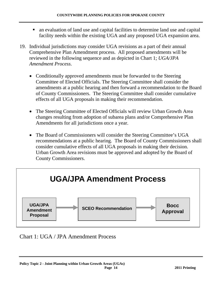- an evaluation of land use and capital facilities to determine land use and capital facility needs within the existing UGA and any proposed UGA expansion area.
- 19. Individual jurisdictions may consider UGA revisions as a part of their annual Comprehensive Plan Amendment process. All proposed amendments will be reviewed in the following sequence and as depicted in Chart 1; *UGA/JPA Amendment Process*.
	- Conditionally approved amendments must be forwarded to the Steering Committee of Elected Officials. The Steering Committee shall consider the amendments at a public hearing and then forward a recommendation to the Board of County Commissioners. The Steering Committee shall consider cumulative effects of all UGA proposals in making their recommendation.
	- The Steering Committee of Elected Officials will review Urban Growth Area changes resulting from adoption of subarea plans and/or Comprehensive Plan Amendments for all jurisdictions once a year.
	- The Board of Commissioners will consider the Steering Committee's UGA recommendations at a public hearing. The Board of County Commissioners shall consider cumulative effects of all UGA proposals in making their decision. Urban Growth Area revisions must be approved and adopted by the Board of County Commissioners.



Chart 1: UGA / JPA Amendment Process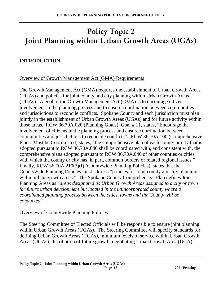# Policy Topic 2 Joint Planning within Urban Growth Areas (UGAs)

#### **INTRODUCTION**

#### Overview of Growth Management Act (GMA) Requirements

The Growth Management Act (GMA) requires the establishment of Urban Growth Areas (UGAs) and policies for joint county and city planning within Urban Growth Areas (UGAs). A goal of the Growth Management Act (GMA) is to encourage citizen involvement in the planning process and to ensure coordination between communities and jurisdictions to reconcile conflicts.Spokane County and each jurisdiction must plan jointly in the establishment of Urban Growth Areas (UGAs) and for future activity within those areas. RCW 36.70A.020 (Planning Goals), Goal # 11, states, "Encourage the involvement of citizens in the planning process and ensure coordination between communities and jurisdictions to reconcile conflicts". RCW 36.70A.100 (Comprehensive Plans, Must be Coordinated) states, "the comprehensive plan of each county or city that is adopted pursuant to RCW 36.70A.040 shall be coordinated with, and consistent with, the comprehensive plans adopted pursuant to RCW 36.70A.040 of other counties or cities with which the county or city has, in part, common borders or related regional issues." Finally, RCW 36.70A.210(3)(f) (Countywide Planning Policies), states that the Countywide Planning Policies must address "policies for joint county and city planning within urban growth areas." The Spokane County Comprehensive Plan defines Joint Planning Areas as "*areas designated as Urban Growth Areas assigned to a city or town for future urban development but located in the unincorporated county where a coordinated planning process between the cities, towns and the County will be conducted."*

#### Overview of Countywide Planning Policies

The Steering Committee of Elected Officials will be responsible to ensure joint planning within Urban Growth Areas (UGAs). The Steering Committee will specify standards for defining Urban Growth Areas (UGAs), minimum levels of service within Urban Growth Areas (UGAs), distribution of future growth, negotiating Urban Growth Area (UGA)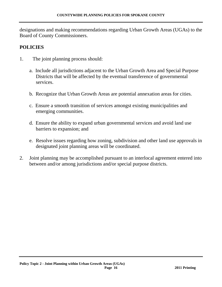designations and making recommendations regarding Urban Growth Areas (UGAs) to the Board of County Commissioners.

#### **POLICIES**

- 1. The joint planning process should:
	- a. Include all jurisdictions adjacent to the Urban Growth Area and Special Purpose Districts that will be affected by the eventual transference of governmental services.
	- b. Recognize that Urban Growth Areas are potential annexation areas for cities.
	- c. Ensure a smooth transition of services amongst existing municipalities and emerging communities.
	- d. Ensure the ability to expand urban governmental services and avoid land use barriers to expansion; and
	- e. Resolve issues regarding how zoning, subdivision and other land use approvals in designated joint planning areas will be coordinated.
- 2. Joint planning may be accomplished pursuant to an interlocal agreement entered into between and/or among jurisdictions and/or special purpose districts.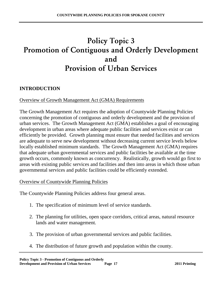### Policy Topic 3 Promotion of Contiguous and Orderly Development and Provision of Urban Services

#### **INTRODUCTION**

#### Overview of Growth Management Act (GMA) Requirements

The Growth Management Act requires the adoption of Countywide Planning Policies concerning the promotion of contiguous and orderly development and the provision of urban services. The Growth Management Act (GMA) establishes a goal of encouraging development in urban areas where adequate public facilities and services exist or can efficiently be provided. Growth planning must ensure that needed facilities and services are adequate to serve new development without decreasing current service levels below locally established minimum standards. The Growth Management Act (GMA) requires that adequate urban governmental services and public facilities be available at the time growth occurs, commonly known as concurrency. Realistically, growth would go first to areas with existing public services and facilities and then into areas in which those urban governmental services and public facilities could be efficiently extended.

#### Overview of Countywide Planning Policies

The Countywide Planning Policies address four general areas.

- 1. The specification of minimum level of service standards.
- 2. The planning for utilities, open space corridors, critical areas, natural resource lands and water management.
- 3. The provision of urban governmental services and public facilities.
- 4. The distribution of future growth and population within the county.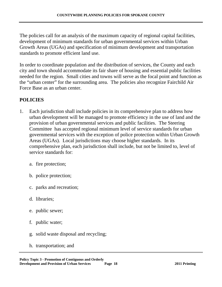The policies call for an analysis of the maximum capacity of regional capital facilities, development of minimum standards for urban governmental services within Urban Growth Areas (UGAs) and specification of minimum development and transportation standards to promote efficient land use.

In order to coordinate population and the distribution of services, the County and each city and town should accommodate its fair share of housing and essential public facilities needed for the region. Small cities and towns will serve as the focal point and function as the "urban center" for the surrounding area. The policies also recognize Fairchild Air Force Base as an urban center.

#### **POLICIES**

- 1. Each jurisdiction shall include policies in its comprehensive plan to address how urban development will be managed to promote efficiency in the use of land and the provision of urban governmental services and public facilities. The Steering Committee has accepted regional minimum level of service standards for urban governmental services with the exception of police protection within Urban Growth Areas (UGAs). Local jurisdictions may choose higher standards. In its comprehensive plan, each jurisdiction shall include, but not be limited to, level of service standards for:
	- a. fire protection;
	- b. police protection;
	- c. parks and recreation;
	- d. libraries;
	- e. public sewer;
	- f. public water;
	- g. solid waste disposal and recycling;
	- h. transportation; and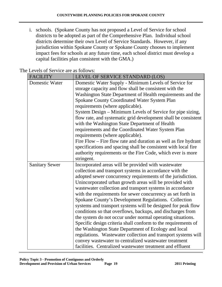i. schools. (Spokane County has not proposed a Level of Service for school districts to be adopted as part of the Comprehensive Plan. Individual school districts determine their own Level of Service Standards. However, if any jurisdiction within Spokane County or Spokane County chooses to implement impact fees for schools at any future time, each school district must develop a capital facilities plan consistent with the GMA.)

| <b>FACILITY</b>       | LEVEL OF SERVICE STANDARD (LOS)                                                                                          |
|-----------------------|--------------------------------------------------------------------------------------------------------------------------|
| Domestic Water        | Domestic Water Supply - Minimum Levels of Service for                                                                    |
|                       | storage capacity and flow shall be consistent with the                                                                   |
|                       | Washington State Department of Health requirements and the                                                               |
|                       | Spokane County Coordinated Water System Plan                                                                             |
|                       | requirements (where applicable).                                                                                         |
|                       | System Design – Minimum Levels of Service for pipe sizing,                                                               |
|                       | flow rate, and systematic grid development shall be consistent                                                           |
|                       | with the Washington State Department of Health                                                                           |
|                       | requirements and the Coordinated Water System Plan                                                                       |
|                       | requirements (where applicable).                                                                                         |
|                       | Fire Flow – Fire flow rate and duration as well as fire hydrant                                                          |
|                       | specifications and spacing shall be consistent with local fire                                                           |
|                       | authority requirements or the Fire Code, which ever is more                                                              |
|                       | stringent.                                                                                                               |
| <b>Sanitary Sewer</b> | Incorporated areas will be provided with wastewater                                                                      |
|                       | collection and transport systems in accordance with the                                                                  |
|                       | adopted sewer concurrency requirements of the jurisdiction.                                                              |
|                       | Unincorporated urban growth areas will be provided with                                                                  |
|                       | wastewater collection and transport systems in accordance<br>with the requirements for sewer concurrency as set forth in |
|                       | Spokane County's Development Regulations. Collection                                                                     |
|                       | systems and transport systems will be designed for peak flow                                                             |
|                       | conditions so that overflows, backups, and discharges from                                                               |
|                       | the system do not occur under normal operating situations.                                                               |
|                       | Specific design criteria shall conform to the requirements of                                                            |
|                       | the Washington State Department of Ecology and local                                                                     |
|                       | regulations. Wastewater collection and transport systems will                                                            |
|                       | convey wastewater to centralized wastewater treatment                                                                    |
|                       | facilities. Centralized wastewater treatment and effluent                                                                |

The Levels of Service are as follows: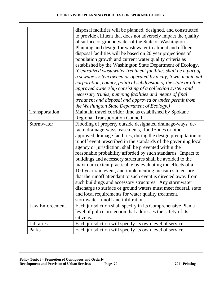|                 | disposal facilities will be planned, designed, and constructed   |
|-----------------|------------------------------------------------------------------|
|                 | to provide effluent that does not adversely impact the quality   |
|                 | of surface or ground water of the State of Washington.           |
|                 | Planning and design for wastewater treatment and effluent        |
|                 | disposal facilities will be based on 20 year projections of      |
|                 | population growth and current water quality criteria as          |
|                 | established by the Washington State Department of Ecology.       |
|                 | (Centralized wastewater treatment facilities shall be a part of  |
|                 | a sewage system owned or operated by a city, town, municipal     |
|                 |                                                                  |
|                 | corporation, county, political subdivision of the state or other |
|                 | approved ownership consisting of a collection system and         |
|                 | necessary trunks, pumping facilities and means of final          |
|                 | treatment and disposal and approved or under permit from         |
|                 | the Washington State Department of Ecology.)                     |
| Transportation  | Maintain travel corridor time as established by Spokane          |
|                 | <b>Regional Transportation Council.</b>                          |
| Stormwater      | Flooding of property outside designated drainage-ways, de-       |
|                 | facto drainage-ways, easements, flood zones or other             |
|                 | approved drainage facilities, during the design precipitation or |
|                 | runoff event prescribed in the standards of the governing local  |
|                 | agency or jurisdiction, shall be prevented within the            |
|                 | reasonable probability afforded by such standards. Impact to     |
|                 | buildings and accessory structures shall be avoided to the       |
|                 | maximum extent practicable by evaluating the effects of a        |
|                 | 100-year rain event, and implementing measures to ensure         |
|                 | that the runoff attendant to such event is directed away from    |
|                 | such buildings and accessory structures. Any stormwater          |
|                 | discharge to surface or ground waters must meet federal, state   |
|                 | and local requirements for water quality treatment,              |
|                 | stormwater runoff and infiltration.                              |
| Law Enforcement | Each jurisdiction shall specify in its Comprehensive Plan a      |
|                 | level of police protection that addresses the safety of its      |
|                 |                                                                  |
|                 | citizens.                                                        |
| Libraries       | Each jurisdiction will specify its own level of service.         |
| Parks           | Each jurisdiction will specify its own level of service.         |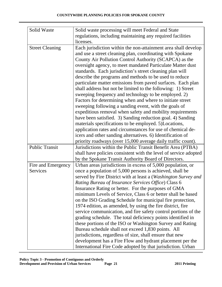| Solid Waste            | Solid waste processing will meet Federal and State               |
|------------------------|------------------------------------------------------------------|
|                        | regulations, including maintaining any required facilities       |
|                        | licenses.                                                        |
|                        | Each jurisdiction within the non-attainment area shall develop   |
| <b>Street Cleaning</b> |                                                                  |
|                        | and use a street cleaning plan, coordinating with Spokane        |
|                        | County Air Pollution Control Authority (SCAPCA) as the           |
|                        | oversight agency, to meet mandated Particulate Matter dust       |
|                        | standards. Each jurisdiction's street cleaning plan will         |
|                        | describe the programs and methods to be used to reduce           |
|                        | particulate matter emissions from paved surfaces. Each plan      |
|                        | shall address but not be limited to the following: 1) Street     |
|                        | sweeping frequency and technology to be employed. 2)             |
|                        | Factors for determining when and where to initiate street        |
|                        | sweeping following a sanding event, with the goals of            |
|                        | expeditious removal when safety and mobility requirements        |
|                        | have been satisfied. 3) Sanding reduction goal. 4) Sanding       |
|                        | materials specifications to be employed. 5)Locations,            |
|                        | application rates and circumstances for use of chemical de-      |
|                        | icers and other sanding alternatives. 6) Identification of       |
|                        | priority roadways (over 15,000 average daily traffic count).     |
| <b>Public Transit</b>  | Jurisdictions within the Public Transit Benefit Area (PTBA)      |
|                        | shall have policies consistent with the level of service adopted |
|                        | by the Spokane Transit Authority Board of Directors.             |
| Fire and Emergency     | Urban areas jurisdictions in excess of 5,000 population, or      |
| Services               | once a population of 5,000 persons is achieved, shall be         |
|                        | served by Fire District with at least a (Washington Survey and   |
|                        | Rating Bureau of Insurance Services Office) Class 6              |
|                        | Insurance Rating or better. For the purposes of GMA              |
|                        | minimum Levels of Service, Class 6 or better shall be based      |
|                        | on the ISO Grading Schedule for municipal fire protection,       |
|                        | 1974 edition, as amended, by using the fire district, fire       |
|                        | service communication, and fire safety control portions of the   |
|                        | grading schedule. The total deficiency points identified in      |
|                        | these portions of the ISO or Washington Survey and Rating        |
|                        | Bureau schedule shall not exceed 1,830 points. All               |
|                        | jurisdictions, regardless of size, shall ensure that new         |
|                        | development has a Fire Flow and hydrant placement per the        |
|                        | International Fire Code adopted by that jurisdiction. Urban      |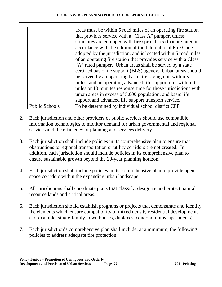|                       | areas must be within 5 road miles of an operating fire station   |
|-----------------------|------------------------------------------------------------------|
|                       | that provides service with a "Class A" pumper, unless            |
|                       | structures are equipped with fire sprinkler(s) that are rated in |
|                       | accordance with the edition of the International Fire Code       |
|                       | adopted by the jurisdiction, and is located within 5 road miles  |
|                       | of an operating fire station that provides service with a Class  |
|                       | "A" rated pumper. Urban areas shall be served by a state         |
|                       | certified basic life support (BLS) agency. Urban areas should    |
|                       | be served by an operating basic life saving unit within 5        |
|                       | miles; and an operating advanced life support unit within 6      |
|                       | miles or 10 minutes response time for those jurisdictions with   |
|                       | urban areas in excess of 5,000 population; and basic life        |
|                       | support and advanced life support transport service.             |
| <b>Public Schools</b> | To be determined by individual school district CFP.              |

- 2. Each jurisdiction and other providers of public services should use compatible information technologies to monitor demand for urban governmental and regional services and the efficiency of planning and services delivery.
- 3. Each jurisdiction shall include policies in its comprehensive plan to ensure that obstructions to regional transportation or utility corridors are not created. In addition, each jurisdiction should include policies in its comprehensive plan to ensure sustainable growth beyond the 20-year planning horizon.
- 4. Each jurisdiction shall include policies in its comprehensive plan to provide open space corridors within the expanding urban landscape.
- 5. All jurisdictions shall coordinate plans that classify, designate and protect natural resource lands and critical areas.
- 6. Each jurisdiction should establish programs or projects that demonstrate and identify the elements which ensure compatibility of mixed density residential developments (for example, single-family, town houses, duplexes, condominiums, apartments).
- 7. Each jurisdiction's comprehensive plan shall include, at a minimum, the following policies to address adequate fire protection.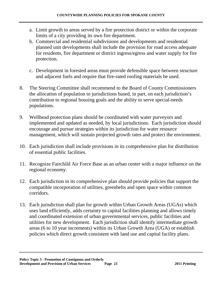- a. Limit growth to areas served by a fire protection district or within the corporate limits of a city providing its own fire department.
- b. Commercial and residential subdivisions and developments and residential planned unit developments shall include the provision for road access adequate for residents, fire department or district ingress/egress and water supply for fire protection.
- c. Development in forested areas must provide defensible space between structure and adjacent fuels and require that fire-rated roofing materials be used.
- 8. The Steering Committee shall recommend to the Board of County Commissioners the allocation of population to jurisdictions based, in part, on each jurisdiction's contribution to regional housing goals and the ability to serve special-needs populations.
- 9. Wellhead protection plans should be coordinated with water purveyors and implemented and updated as needed, by local jurisdictions. Each jurisdiction should encourage and pursue strategies within its jurisdiction for water resource management, which will sustain projected growth rates and protect the environment.
- 10. Each jurisdiction shall include provisions in its comprehensive plan for distribution of essential public facilities.
- 11. Recognize Fairchild Air Force Base as an urban center with a major influence on the regional economy.
- 12. Each jurisdiction in its comprehensive plan should provide policies that support the compatible incorporation of utilities, greenbelts and open space within common corridors.
- 13. Each jurisdiction shall plan for growth within Urban Growth Areas (UGAs) which uses land efficiently, adds certainty to capital facilities planning and allows timely and coordinated extension of urban governmental services, public facilities and utilities for new development. Each jurisdiction shall identify intermediate growth areas (6 to 10 year increments) within its Urban Growth Area (UGA) or establish policies which direct growth consistent with land use and capital facility plans.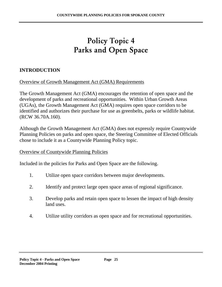### Policy Topic 4 Parks and Open Space

#### **INTRODUCTION**

Overview of Growth Management Act (GMA) Requirements

The Growth Management Act (GMA) encourages the retention of open space and the development of parks and recreational opportunities. Within Urban Growth Areas (UGAs), the Growth Management Act (GMA) requires open space corridors to be identified and authorizes their purchase for use as greenbelts, parks or wildlife habitat. (RCW 36.70A.160).

Although the Growth Management Act (GMA) does not expressly require Countywide Planning Policies on parks and open space, the Steering Committee of Elected Officials chose to include it as a Countywide Planning Policy topic.

#### Overview of Countywide Planning Policies

Included in the policies for Parks and Open Space are the following.

- 1. Utilize open space corridors between major developments.
- 2. Identify and protect large open space areas of regional significance.
- 3. Develop parks and retain open space to lessen the impact of high density land uses.
- 4. Utilize utility corridors as open space and for recreational opportunities.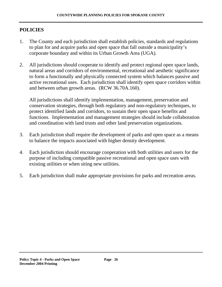#### **POLICIES**

- 1. The County and each jurisdiction shall establish policies, standards and regulations to plan for and acquire parks and open space that fall outside a municipality's corporate boundary and within its Urban Growth Area (UGA).
- 2. All jurisdictions should cooperate to identify and protect regional open space lands, natural areas and corridors of environmental, recreational and aesthetic significance to form a functionally and physically connected system which balances passive and active recreational uses. Each jurisdiction shall identify open space corridors within and between urban growth areas. (RCW 36.70A.160).

All jurisdictions shall identify implementation, management, preservation and conservation strategies, through both regulatory and non-regulatory techniques, to protect identified lands and corridors, to sustain their open space benefits and functions. Implementation and management strategies should include collaboration and coordination with land trusts and other land preservation organizations.

- 3. Each jurisdiction shall require the development of parks and open space as a means to balance the impacts associated with higher density development.
- 4. Each jurisdiction should encourage cooperation with both utilities and users for the purpose of including compatible passive recreational and open space uses with existing utilities or when siting new utilities.
- 5. Each jurisdiction shall make appropriate provisions for parks and recreation areas.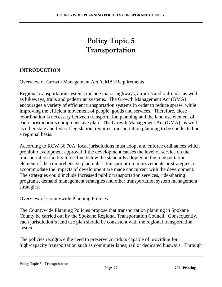### Policy Topic 5 Transportation

#### **INTRODUCTION**

#### Overview of Growth Management Act (GMA) Requirements

Regional transportation systems include major highways, airports and railroads, as well as bikeways, trails and pedestrian systems. The Growth Management Act (GMA) encourages a variety of efficient transportation systems in order to reduce sprawl while improving the efficient movement of people, goods and services. Therefore, close coordination is necessary between transportation planning and the land use element of each jurisdiction's comprehensive plan. The Growth Management Act (GMA), as well as other state and federal legislation, requires transportation planning to be conducted on a regional basis.

According to RCW 36.70A, local jurisdictions must adopt and enforce ordinances which prohibit development approval if the development causes the level of service on the transportation facility to decline below the standards adopted in the transportation element of the comprehensive plan unless transportation improvements or strategies to accommodate the impacts of development are made concurrent with the development. The strategies could include increased public transportation services, ride-sharing programs, demand management strategies and other transportation system management strategies.

#### Overview of Countywide Planning Policies

The Countywide Planning Policies propose that transportation planning in Spokane County be carried out by the Spokane Regional Transportation Council. Consequently, each jurisdiction's land use plan should be consistent with the regional transportation system.

The policies recognize the need to preserve corridors capable of providing for high-capacity transportation such as commuter lanes, rail or dedicated busways. Through

#### **Policy Topic 5 - Transportation**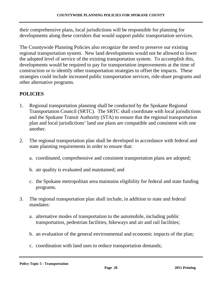their comprehensive plans, local jurisdictions will be responsible for planning for developments along these corridors that would support public transportation services.

The Countywide Planning Policies also recognize the need to preserve our existing regional transportation system. New land developments would not be allowed to lower the adopted level of service of the existing transportation system. To accomplish this, developments would be required to pay for transportation improvements at the time of construction or to identify other transportation strategies to offset the impacts. These strategies could include increased public transportation services, ride-share programs and other alternative programs.

### **POLICIES**

- 1. Regional transportation planning shall be conducted by the Spokane Regional Transportation Council (SRTC). The SRTC shall coordinate with local jurisdictions and the Spokane Transit Authority (STA) to ensure that the regional transportation plan and local jurisdictions' land use plans are compatible and consistent with one another.
- 2. The regional transportation plan shall be developed in accordance with federal and state planning requirements in order to ensure that:
	- a. coordinated, comprehensive and consistent transportation plans are adopted;
	- b. air quality is evaluated and maintained; and
	- c. the Spokane metropolitan area maintains eligibility for federal and state funding programs.
- 3. The regional transportation plan shall include, in addition to state and federal mandates:
	- a. alternative modes of transportation to the automobile, including public transportation, pedestrian facilities, bikeways and air and rail facilities;
	- b. an evaluation of the general environmental and economic impacts of the plan;
	- c. coordination with land uses to reduce transportation demands;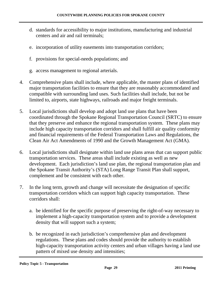- d. standards for accessibility to major institutions, manufacturing and industrial centers and air and rail terminals;
- e. incorporation of utility easements into transportation corridors;
- f. provisions for special-needs populations; and
- g. access management to regional arterials.
- 4. Comprehensive plans shall include, where applicable, the master plans of identified major transportation facilities to ensure that they are reasonably accommodated and compatible with surrounding land uses. Such facilities shall include, but not be limited to, airports, state highways, railroads and major freight terminals.
- 5. Local jurisdictions shall develop and adopt land use plans that have been coordinated through the Spokane Regional Transportation Council (SRTC) to ensure that they preserve and enhance the regional transportation system. These plans may include high capacity transportation corridors and shall fulfill air quality conformity and financial requirements of the Federal Transportation Laws and Regulations, the Clean Air Act Amendments of 1990 and the Growth Management Act (GMA).
- 6. Local jurisdictions shall designate within land use plans areas that can support public transportation services. These areas shall include existing as well as new development. Each jurisdiction's land use plan, the regional transportation plan and the Spokane Transit Authority's (STA) Long Range Transit Plan shall support, complement and be consistent with each other.
- 7. In the long term, growth and change will necessitate the designation of specific transportation corridors which can support high capacity transportation. These corridors shall:
	- a. be identified for the specific purpose of preserving the right-of-way necessary to implement a high-capacity transportation system and to provide a development density that will support such a system;
	- b. be recognized in each jurisdiction's comprehensive plan and development regulations. These plans and codes should provide the authority to establish high-capacity transportation activity centers and urban villages having a land use pattern of mixed use density and intensities;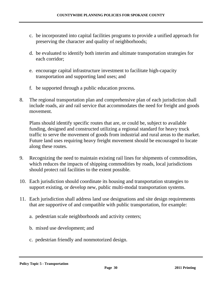- c. be incorporated into capital facilities programs to provide a unified approach for preserving the character and quality of neighborhoods;
- d. be evaluated to identify both interim and ultimate transportation strategies for each corridor;
- e. encourage capital infrastructure investment to facilitate high-capacity transportation and supporting land uses; and
- f. be supported through a public education process.
- 8. The regional transportation plan and comprehensive plan of each jurisdiction shall include roads, air and rail service that accommodates the need for freight and goods movement.

Plans should identify specific routes that are, or could be, subject to available funding, designed and constructed utilizing a regional standard for heavy truck traffic to serve the movement of goods from industrial and rural areas to the market. Future land uses requiring heavy freight movement should be encouraged to locate along these routes.

- 9. Recognizing the need to maintain existing rail lines for shipments of commodities, which reduces the impacts of shipping commodities by roads, local jurisdictions should protect rail facilities to the extent possible.
- 10. Each jurisdiction should coordinate its housing and transportation strategies to support existing, or develop new, public multi-modal transportation systems.
- 11. Each jurisdiction shall address land use designations and site design requirements that are supportive of and compatible with public transportation, for example:
	- a. pedestrian scale neighborhoods and activity centers;
	- b. mixed use development; and
	- c. pedestrian friendly and nonmotorized design.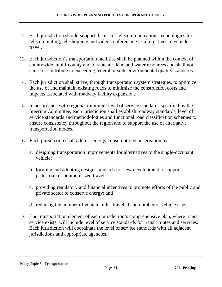- 12. Each jurisdiction should support the use of telecommunications technologies for telecommuting, teleshopping and video conferencing as alternatives to vehicle travel.
- 13. Each jurisdiction's transportation facilities shall be planned within the context of countywide, multi-county and bi-state air, land and water resources and shall not cause or contribute to exceeding federal or state environmental quality standards.
- 14. Each jurisdiction shall strive, through transportation system strategies, to optimize the use of and maintain existing roads to minimize the construction costs and impacts associated with roadway facility expansion.
- 15. In accordance with regional minimum level of service standards specified by the Steering Committee, each jurisdiction shall establish roadway standards, level of service standards and methodologies and functional road classification schemes to ensure consistency throughout the region and to support the use of alternative transportation modes.
- 16. Each jurisdiction shall address energy consumption/conservation by:
	- a. designing transportation improvements for alternatives to the single-occupant vehicle;
	- b. locating and adopting design standards for new development to support pedestrian or nonmotorized travel;
	- c. providing regulatory and financial incentives to promote efforts of the public and private sector to conserve energy; and
	- d. reducing the number of vehicle miles traveled and number of vehicle trips.
- 17. The transportation element of each jurisdiction's comprehensive plan, where transit service exists, will include level of service standards for transit routes and services. Each jurisdiction will coordinate the level of service standards with all adjacent jurisdictions and appropriate agencies.

#### **Policy Topic 5 - Transportation**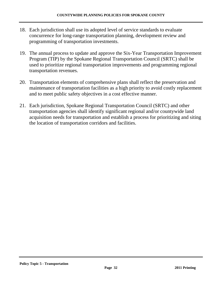- 18. Each jurisdiction shall use its adopted level of service standards to evaluate concurrence for long-range transportation planning, development review and programming of transportation investments.
- 19. The annual process to update and approve the Six-Year Transportation Improvement Program (TIP) by the Spokane Regional Transportation Council (SRTC) shall be used to prioritize regional transportation improvements and programming regional transportation revenues.
- 20. Transportation elements of comprehensive plans shall reflect the preservation and maintenance of transportation facilities as a high priority to avoid costly replacement and to meet public safety objectives in a cost effective manner.
- 21. Each jurisdiction, Spokane Regional Transportation Council (SRTC) and other transportation agencies shall identify significant regional and/or countywide land acquisition needs for transportation and establish a process for prioritizing and siting the location of transportation corridors and facilities.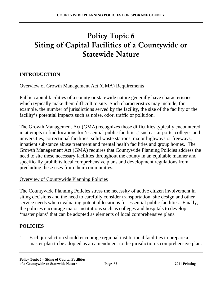### Policy Topic 6 Siting of Capital Facilities of a Countywide or Statewide Nature

#### **INTRODUCTION**

#### Overview of Growth Management Act (GMA) Requirements

Public capital facilities of a county or statewide nature generally have characteristics which typically make them difficult to site. Such characteristics may include, for example, the number of jurisdictions served by the facility, the size of the facility or the facility's potential impacts such as noise, odor, traffic or pollution.

The Growth Management Act (GMA) recognizes those difficulties typically encountered in attempts to find locations for 'essential public facilities,' such as airports, colleges and universities, correctional facilities, solid waste stations, major highways or freeways, inpatient substance abuse treatment and mental health facilities and group homes. The Growth Management Act (GMA) requires that Countywide Planning Policies address the need to site these necessary facilities throughout the county in an equitable manner and specifically prohibits local comprehensive plans and development regulations from precluding these uses from their communities.

#### Overview of Countywide Planning Policies

The Countywide Planning Policies stress the necessity of active citizen involvement in siting decisions and the need to carefully consider transportation, site design and other service needs when evaluating potential locations for essential public facilities. Finally, the policies encourage major institutions such as colleges and hospitals to develop 'master plans' that can be adopted as elements of local comprehensive plans.

#### **POLICIES**

1. Each jurisdiction should encourage regional institutional facilities to prepare a master plan to be adopted as an amendment to the jurisdiction's comprehensive plan.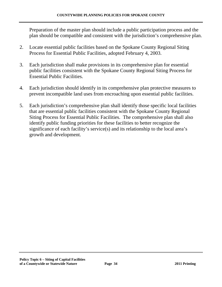Preparation of the master plan should include a public participation process and the plan should be compatible and consistent with the jurisdiction's comprehensive plan.

- 2. Locate essential public facilities based on the Spokane County Regional Siting Process for Essential Public Facilities, adopted February 4, 2003.
- 3. Each jurisdiction shall make provisions in its comprehensive plan for essential public facilities consistent with the Spokane County Regional Siting Process for Essential Public Facilities.
- 4. Each jurisdiction should identify in its comprehensive plan protective measures to prevent incompatible land uses from encroaching upon essential public facilities.
- 5. Each jurisdiction's comprehensive plan shall identify those specific local facilities that are essential public facilities consistent with the Spokane County Regional Siting Process for Essential Public Facilities. The comprehensive plan shall also identify public funding priorities for these facilities to better recognize the significance of each facility's service(s) and its relationship to the local area's growth and development.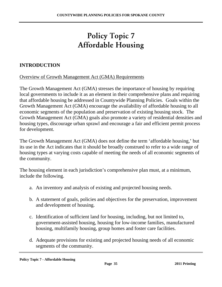# Policy Topic 7 Affordable Housing

#### **INTRODUCTION**

Overview of Growth Management Act (GMA) Requirements

The Growth Management Act (GMA) stresses the importance of housing by requiring local governments to include it as an element in their comprehensive plans and requiring that affordable housing be addressed in Countywide Planning Policies. Goals within the Growth Management Act (GMA) encourage the availability of affordable housing to all economic segments of the population and preservation of existing housing stock. The Growth Management Act (GMA) goals also promote a variety of residential densities and housing types, discourage urban sprawl and encourage a fair and efficient permit process for development.

The Growth Management Act (GMA) does not define the term 'affordable housing,' but its use in the Act indicates that it should be broadly construed to refer to a wide range of housing types at varying costs capable of meeting the needs of all economic segments of the community.

The housing element in each jurisdiction's comprehensive plan must, at a minimum, include the following.

- a. An inventory and analysis of existing and projected housing needs.
- b. A statement of goals, policies and objectives for the preservation, improvement and development of housing.
- c. Identification of sufficient land for housing, including, but not limited to, government-assisted housing, housing for low-income families, manufactured housing, multifamily housing, group homes and foster care facilities.
- d. Adequate provisions for existing and projected housing needs of all economic segments of the community.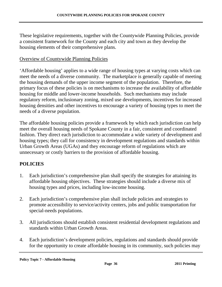These legislative requirements, together with the Countywide Planning Policies, provide a consistent framework for the County and each city and town as they develop the housing elements of their comprehensive plans.

#### Overview of Countywide Planning Policies

'Affordable housing' applies to a wide range of housing types at varying costs which can meet the needs of a diverse community. The marketplace is generally capable of meeting the housing demands of the upper income segment of the population. Therefore, the primary focus of these policies is on mechanisms to increase the availability of affordable housing for middle and lower-income households. Such mechanisms may include regulatory reform, inclusionary zoning, mixed use developments, incentives for increased housing densities and other incentives to encourage a variety of housing types to meet the needs of a diverse population.

The affordable housing policies provide a framework by which each jurisdiction can help meet the overall housing needs of Spokane County in a fair, consistent and coordinated fashion. They direct each jurisdiction to accommodate a wide variety of development and housing types; they call for consistency in development regulations and standards within Urban Growth Areas (UGAs) and they encourage reform of regulations which are unnecessary or costly barriers to the provision of affordable housing.

#### **POLICIES**

- 1. Each jurisdiction's comprehensive plan shall specify the strategies for attaining its affordable housing objectives. These strategies should include a diverse mix of housing types and prices, including low-income housing.
- 2. Each jurisdiction's comprehensive plan shall include policies and strategies to promote accessibility to service/activity centers, jobs and public transportation for special-needs populations.
- 3. All jurisdictions should establish consistent residential development regulations and standards within Urban Growth Areas.
- 4. Each jurisdiction's development policies, regulations and standards should provide for the opportunity to create affordable housing in its community, such policies may

**Policy Topic 7 - Affordable Housing**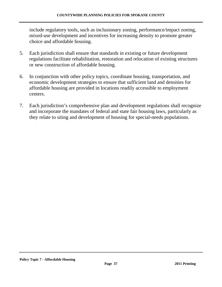include regulatory tools, such as inclusionary zoning, performance/impact zoning, mixed-use development and incentives for increasing density to promote greater choice and affordable housing.

- 5. Each jurisdiction shall ensure that standards in existing or future development regulations facilitate rehabilitation, restoration and relocation of existing structures or new construction of affordable housing.
- 6. In conjunction with other policy topics, coordinate housing, transportation, and economic development strategies to ensure that sufficient land and densities for affordable housing are provided in locations readily accessible to employment centers.
- 7. Each jurisdiction's comprehensive plan and development regulations shall recognize and incorporate the mandates of federal and state fair housing laws, particularly as they relate to siting and development of housing for special-needs populations.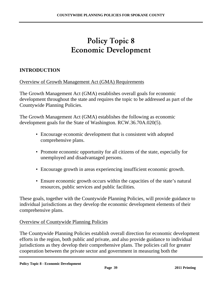### Policy Topic 8 Economic Development

#### **INTRODUCTION**

Overview of Growth Management Act (GMA) Requirements

The Growth Management Act (GMA) establishes overall goals for economic development throughout the state and requires the topic to be addressed as part of the Countywide Planning Policies.

The Growth Management Act (GMA) establishes the following as economic development goals for the State of Washington. RCW.36.70A.020(5).

- Encourage economic development that is consistent with adopted comprehensive plans.
- Promote economic opportunity for all citizens of the state, especially for unemployed and disadvantaged persons.
- Encourage growth in areas experiencing insufficient economic growth.
- Ensure economic growth occurs within the capacities of the state's natural resources, public services and public facilities.

These goals, together with the Countywide Planning Policies, will provide guidance to individual jurisdictions as they develop the economic development elements of their comprehensive plans.

#### Overview of Countywide Planning Policies

The Countywide Planning Policies establish overall direction for economic development efforts in the region, both public and private, and also provide guidance to individual jurisdictions as they develop their comprehensive plans. The policies call for greater cooperation between the private sector and government in measuring both the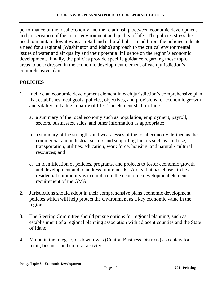performance of the local economy and the relationship between economic development and preservation of the area's environment and quality of life. The policies stress the need to maintain downtowns as retail and cultural hubs. In addition, the policies indicate a need for a regional (Washington and Idaho) approach to the critical environmental issues of water and air quality and their potential influence on the region's economic development. Finally, the policies provide specific guidance regarding those topical areas to be addressed in the economic development element of each jurisdiction's comprehensive plan.

#### **POLICIES**

- 1. Include an economic development element in each jurisdiction's comprehensive plan that establishes local goals, policies, objectives, and provisions for economic growth and vitality and a high quality of life. The element shall include:
	- a. a summary of the local economy such as population, employment, payroll, sectors, businesses, sales, and other information as appropriate;
	- b. a summary of the strengths and weaknesses of the local economy defined as the commercial and industrial sectors and supporting factors such as land use, transportation, utilities, education, work force, housing, and natural / cultural resources; and
	- c. an identification of policies, programs, and projects to foster economic growth and development and to address future needs. A city that has chosen to be a residential community is exempt from the economic development element requirement of the GMA.
- 2. Jurisdictions should adopt in their comprehensive plans economic development policies which will help protect the environment as a key economic value in the region.
- 3. The Steering Committee should pursue options for regional planning, such as establishment of a regional planning association with adjacent counties and the State of Idaho.
- 4. Maintain the integrity of downtowns (Central Business Districts) as centers for retail, business and cultural activity.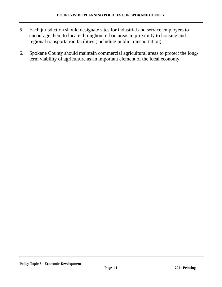- 5. Each jurisdiction should designate sites for industrial and service employers to encourage them to locate throughout urban areas in proximity to housing and regional transportation facilities (including public transportation).
- 6. Spokane County should maintain commercial agricultural areas to protect the longterm viability of agriculture as an important element of the local economy.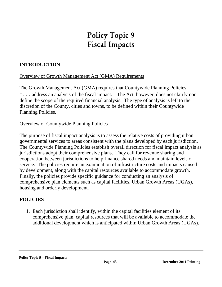# Policy Topic 9 Fiscal Impacts

#### **INTRODUCTION**

#### Overview of Growth Management Act (GMA) Requirements

The Growth Management Act (GMA) requires that Countywide Planning Policies " . . . address an analysis of the fiscal impact." The Act, however, does not clarify nor define the scope of the required financial analysis. The type of analysis is left to the discretion of the County, cities and towns, to be defined within their Countywide Planning Policies.

#### Overview of Countywide Planning Policies

The purpose of fiscal impact analysis is to assess the relative costs of providing urban governmental services to areas consistent with the plans developed by each jurisdiction. The Countywide Planning Policies establish overall direction for fiscal impact analysis as jurisdictions adopt their comprehensive plans. They call for revenue sharing and cooperation between jurisdictions to help finance shared needs and maintain levels of service. The policies require an examination of infrastructure costs and impacts caused by development, along with the capital resources available to accommodate growth. Finally, the policies provide specific guidance for conducting an analysis of comprehensive plan elements such as capital facilities, Urban Growth Areas (UGAs), housing and orderly development.

#### **POLICIES**

1. Each jurisdiction shall identify, within the capital facilities element of its comprehensive plan, capital resources that will be available to accommodate the additional development which is anticipated within Urban Growth Areas (UGAs).

#### **Policy Topic 9 – Fiscal Impacts**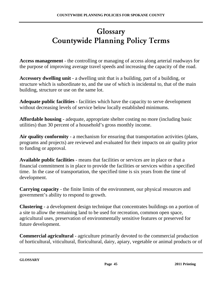# Glossary Countywide Planning Policy Terms

**Access management** - the controlling or managing of access along arterial roadways for the purpose of improving average travel speeds and increasing the capacity of the road.

**Accessory dwelling unit** - a dwelling unit that is a building, part of a building, or structure which is subordinate to, and the use of which is incidental to, that of the main building, structure or use on the same lot.

**Adequate public facilities** - facilities which have the capacity to serve development without decreasing levels of service below locally established minimums.

**Affordable housing** - adequate, appropriate shelter costing no more (including basic utilities) than 30 percent of a household's gross monthly income.

**Air quality conformity** - a mechanism for ensuring that transportation activities (plans, programs and projects) are reviewed and evaluated for their impacts on air quality prior to funding or approval.

**Available public facilities** - means that facilities or services are in place or that a financial commitment is in place to provide the facilities or services within a specified time. In the case of transportation, the specified time is six years from the time of development.

**Carrying capacity** - the finite limits of the environment, our physical resources and government's ability to respond to growth.

**Clustering** - a development design technique that concentrates buildings on a portion of a site to allow the remaining land to be used for recreation, common open space, agricultural uses, preservation of environmentally sensitive features or preserved for future development.

**Commercial agricultural** - agriculture primarily devoted to the commercial production of horticultural, viticultural, floricultural, dairy, apiary, vegetable or animal products or of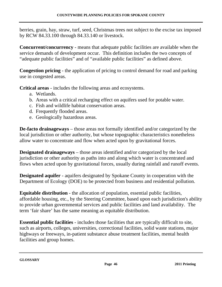berries, grain, hay, straw, turf, seed, Christmas trees not subject to the excise tax imposed by RCW 84.33.100 through 84.33.140 or livestock.

**Concurrent/concurrency** - means that adequate public facilities are available when the service demands of development occur. This definition includes the two concepts of "adequate public facilities" and of "available public facilities" as defined above.

**Congestion pricing** - the application of pricing to control demand for road and parking use in congested areas.

**Critical areas** - includes the following areas and ecosystems.

- a. Wetlands.
- b. Areas with a critical recharging effect on aquifers used for potable water.
- c. Fish and wildlife habitat conservation areas.
- d. Frequently flooded areas.
- e. Geologically hazardous areas.

**De-facto drainageways** – those areas not formally identified and/or categorized by the local jurisdiction or other authority, but whose topographic characteristics nonetheless allow water to concentrate and flow when acted upon by gravitational forces.

**Designated drainageways** – those areas identified and/or categorized by the local jurisdiction or other authority as paths into and along which water is concentrated and flows when acted upon by gravitational forces, usually during rainfall and runoff events.

**Designated aquifer** - aquifers designated by Spokane County in cooperation with the Department of Ecology (DOE) to be protected from business and residential pollution.

**Equitable distribution** - the allocation of population, essential public facilities, affordable housing, etc., by the Steering Committee, based upon each jurisdiction's ability to provide urban governmental services and public facilities and land availability. The term 'fair share' has the same meaning as equitable distribution.

**Essential public facilities** - includes those facilities that are typically difficult to site, such as airports, colleges, universities, correctional facilities, solid waste stations, major highways or freeways, in-patient substance abuse treatment facilities, mental health facilities and group homes.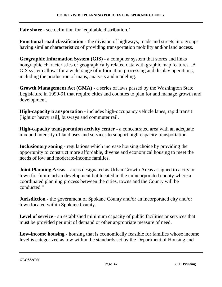**Fair share** - see definition for 'equitable distribution.'

**Functional road classification** - the division of highways, roads and streets into groups having similar characteristics of providing transportation mobility and/or land access.

**Geographic Information System (GIS)** - a computer system that stores and links nongraphic characteristics or geographically related data with graphic map features. A GIS system allows for a wide range of information processing and display operations, including the production of maps, analysis and modeling.

**Growth Management Act (GMA)** - a series of laws passed by the Washington State Legislature in 1990-91 that require cities and counties to plan for and manage growth and development.

**High-capacity transportation** - includes high-occupancy vehicle lanes, rapid transit [light or heavy rail], busways and commuter rail.

**High-capacity transportation activity center** - a concentrated area with an adequate mix and intensity of land uses and services to support high-capacity transportation.

**Inclusionary zoning** - regulations which increase housing choice by providing the opportunity to construct more affordable, diverse and economical housing to meet the needs of low and moderate-income families.

**Joint Planning Areas** – areas designated as Urban Growth Areas assigned to a city or town for future urban development but located in the unincorporated county where a coordinated planning process between the cities, towns and the County will be conducted."

**Jurisdiction** - the government of Spokane County and/or an incorporated city and/or town located within Spokane County.

Level of service - an established minimum capacity of public facilities or services that must be provided per unit of demand or other appropriate measure of need.

**Low-income housing** - housing that is economically feasible for families whose income level is categorized as low within the standards set by the Department of Housing and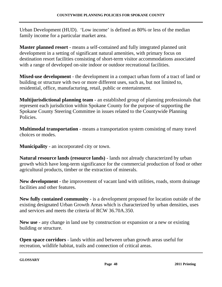Urban Development (HUD). 'Low income' is defined as 80% or less of the median family income for a particular market area.

**Master planned resort** - means a self-contained and fully integrated planned unit development in a setting of significant natural amenities, with primary focus on destination resort facilities consisting of short-term visitor accommodations associated with a range of developed on-site indoor or outdoor recreational facilities.

**Mixed-use development** - the development in a compact urban form of a tract of land or building or structure with two or more different uses, such as, but not limited to, residential, office, manufacturing, retail, public or entertainment.

**Multijurisdictional planning team** - an established group of planning professionals that represent each jurisdiction within Spokane County for the purpose of supporting the Spokane County Steering Committee in issues related to the Countywide Planning Policies.

**Multimodal transportation** - means a transportation system consisting of many travel choices or modes.

**Municipality** - an incorporated city or town.

**Natural resource lands (resource lands)** - lands not already characterized by urban growth which have long-term significance for the commercial production of food or other agricultural products, timber or the extraction of minerals.

**New development** - the improvement of vacant land with utilities, roads, storm drainage facilities and other features.

**New fully contained community** - is a development proposed for location outside of the existing designated Urban Growth Areas which is characterized by urban densities, uses and services and meets the criteria of RCW 36.70A.350.

**New use** - any change in land use by construction or expansion or a new or existing building or structure.

**Open space corridors** - lands within and between urban growth areas useful for recreation, wildlife habitat, trails and connection of critical areas.

**GLOSSARY**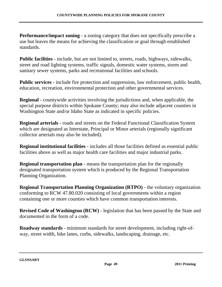**Performance/impact zoning** - a zoning category that does not specifically prescribe a use but leaves the means for achieving the classification or goal through established standards.

**Public facilities** - include, but are not limited to, streets, roads, highways, sidewalks, street and road lighting systems, traffic signals, domestic water systems, storm and sanitary sewer systems, parks and recreational facilities and schools.

**Public services** - include fire protection and suppression, law enforcement, public health, education, recreation, environmental protection and other governmental services.

**Regional** - countywide activities involving the jurisdictions and, when applicable, the special purpose districts within Spokane County; may also include adjacent counties in Washington State and/or Idaho State as indicated in specific policies.

**Regional arterials** - roads and streets on the Federal Functional Classification System which are designated as Interstate, Principal or Minor arterials (regionally significant collector arterials may also be included).

**Regional institutional facilities** - includes all those facilities defined as essential public facilities above as well as major health care facilities and major industrial parks.

**Regional transportation plan** - means the transportation plan for the regionally designated transportation system which is produced by the Regional Transportation Planning Organization.

**Regional Transportation Planning Organization (RTPO)** - the voluntary organization conforming to RCW 47.80.020 consisting of local governments within a region containing one or more counties which have common transportation interests.

**Revised Code of Washington (RCW)** - legislation that has been passed by the State and documented in the form of a code.

**Roadway standards** - minimum standards for street development, including right-ofway, street width, bike lanes, curbs, sidewalks, landscaping, drainage, etc.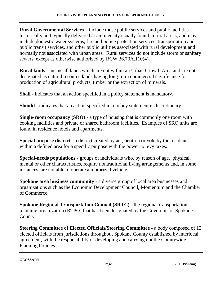**Rural Governmental Services –** include those public services and public facilities historically and typically delivered at an intensity usually found in rural areas, and may include domestic water systems, fire and police protection services, transportation and public transit services, and other public utilities associated with rural development and normally not associated with urban areas. Rural services do not include storm or sanitary sewers, except as otherwise authorized by RCW 36.70A.110(4).

**Rural lands** - means all lands which are not within an Urban Growth Area and are not designated as natural resource lands having long-term commercial significance for production of agricultural products, timber or the extraction of minerals.

**Shall** - indicates that an action specified in a policy statement is mandatory.

**Should** - indicates that an action specified in a policy statement is discretionary.

**Single-room occupancy (SRO)** - a type of housing that is commonly one room with cooking facilities and private or shared bathroom facilities. Examples of SRO units are found in residence hotels and apartments.

**Special purpose district** - a district created by act, petition or vote by the residents within a defined area for a specific purpose with the power to levy taxes.

**Special-needs populations** - groups of individuals who, by reason of age, physical, mental or other characteristics, require nontraditional living arrangements and, in some instances, are not able to operate a motorized vehicle.

**Spokane area business community** - a diverse group of local area businesses and organizations such as the Economic Development Council, Momentum and the Chamber of Commerce.

**Spokane Regional Transportation Council (SRTC)** - the regional transportation planning organization (RTPO) that has been designated by the Governor for Spokane County.

**Steering Committee of Elected Officials/Steering Committee** - a body composed of 12 elected officials from jurisdictions throughout Spokane County established by interlocal agreement, with the responsibility of developing and carrying out the Countywide Planning Policies.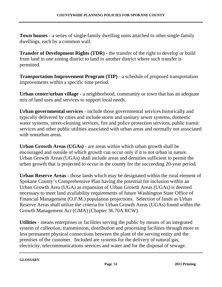**Town houses** - a series of single-family dwelling units attached to other single-family dwellings, each by a common wall.

**Transfer of Development Rights (TDR) - the transfer of the right to develop or build** from land in one zoning district to land in another district where such transfer is permitted.

**Transportation Improvement Program (TIP)** - a schedule of proposed transportation improvements within a specific time period.

**Urban center/urban village** - a neighborhood, community or town that has an adequate mix of land uses and services to support local needs.

**Urban governmental services** - include those governmental services historically and typically delivered by cities and include storm and sanitary sewer systems, domestic water systems, street-cleaning services, fire and police protection services, public transit services and other public utilities associated with urban areas and normally not associated with nonurban areas.

**Urban Growth Areas (UGAs)** - are areas within which urban growth shall be encouraged and outside of which growth can occur only if it is not urban in nature. Urban Growth Areas (UGAs) shall include areas and densities sufficient to permit the urban growth that is projected to occur in the county for the succeeding 20-year period.

**Urban Reserve Areas** - those lands which may be designated within the rural element of Spokane County's Comprehensive Plan having the potential for inclusion within an Urban Growth Area (UGA) as expansion of Urban Growth Areas (UGAs) is deemed necessary to meet land availability requirements of future Washington State Office of Financial Management (O.F.M.) population projections. Selection of lands as Urban Reserve Areas shall utilize the criteria for Urban Growth Areas (UGAs) found within the Growth Management Act (GMA) (Chapter 36.70A RCW).

**Utilities** - means enterprises or facilities serving the public by means of an integrated system of collection, transmission, distribution and processing facilities through more or less permanent physical connections between the plant of the serving entity and the premises of the customer. Included are systems for the delivery of natural gas, electricity, telecommunications services and water and for the disposal of sewage.